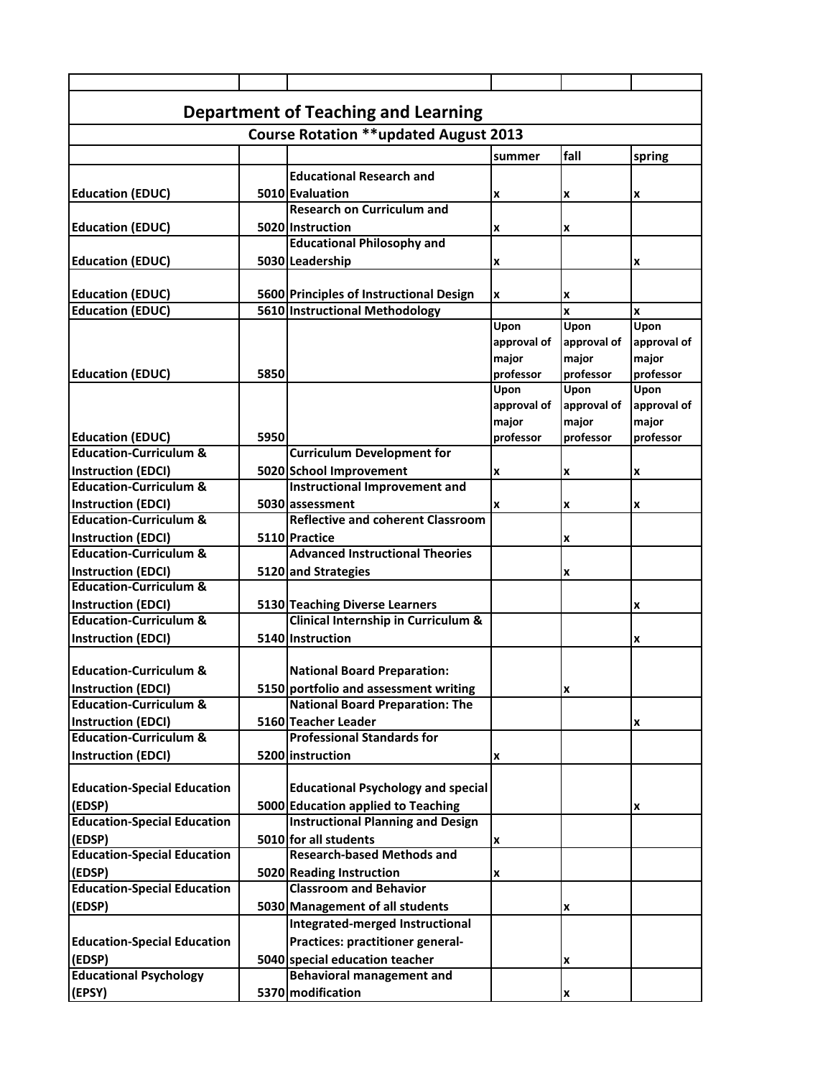| <b>Department of Teaching and Learning</b>   |      |                                                      |             |             |             |  |  |  |
|----------------------------------------------|------|------------------------------------------------------|-------------|-------------|-------------|--|--|--|
| <b>Course Rotation **updated August 2013</b> |      |                                                      |             |             |             |  |  |  |
|                                              |      |                                                      | summer      | fall        | spring      |  |  |  |
|                                              |      | <b>Educational Research and</b>                      |             |             |             |  |  |  |
|                                              |      |                                                      |             |             |             |  |  |  |
| <b>Education (EDUC)</b>                      |      | 5010 Evaluation<br><b>Research on Curriculum and</b> | X           | X           | x           |  |  |  |
|                                              |      | 5020 Instruction                                     |             |             |             |  |  |  |
| <b>Education (EDUC)</b>                      |      | <b>Educational Philosophy and</b>                    | x           | X           |             |  |  |  |
|                                              |      | 5030 Leadership                                      |             |             |             |  |  |  |
| <b>Education (EDUC)</b>                      |      |                                                      | x           |             | x           |  |  |  |
| <b>Education (EDUC)</b>                      |      | 5600 Principles of Instructional Design              | X           |             |             |  |  |  |
| <b>Education (EDUC)</b>                      |      | 5610 Instructional Methodology                       |             | X<br>x      | x           |  |  |  |
|                                              |      |                                                      | Upon        | Upon        | Upon        |  |  |  |
|                                              |      |                                                      | approval of | approval of | approval of |  |  |  |
|                                              |      |                                                      | major       | major       | major       |  |  |  |
| <b>Education (EDUC)</b>                      | 5850 |                                                      | professor   | professor   | professor   |  |  |  |
|                                              |      |                                                      | Upon        | Upon        | Upon        |  |  |  |
|                                              |      |                                                      | approval of | approval of | approval of |  |  |  |
|                                              |      |                                                      | major       | major       | major       |  |  |  |
| <b>Education (EDUC)</b>                      | 5950 |                                                      | professor   | professor   | professor   |  |  |  |
| <b>Education-Curriculum &amp;</b>            |      | <b>Curriculum Development for</b>                    |             |             |             |  |  |  |
| <b>Instruction (EDCI)</b>                    |      | 5020 School Improvement                              | X           | x           | x           |  |  |  |
| <b>Education-Curriculum &amp;</b>            |      | <b>Instructional Improvement and</b>                 |             |             |             |  |  |  |
| Instruction (EDCI)                           |      | 5030 assessment                                      | x           | X           | x           |  |  |  |
| <b>Education-Curriculum &amp;</b>            |      | <b>Reflective and coherent Classroom</b>             |             |             |             |  |  |  |
| Instruction (EDCI)                           |      | 5110 Practice                                        |             | X           |             |  |  |  |
| <b>Education-Curriculum &amp;</b>            |      | <b>Advanced Instructional Theories</b>               |             |             |             |  |  |  |
| <b>Instruction (EDCI)</b>                    |      | 5120 and Strategies                                  |             | x           |             |  |  |  |
| <b>Education-Curriculum &amp;</b>            |      |                                                      |             |             |             |  |  |  |
| <b>Instruction (EDCI)</b>                    |      | 5130 Teaching Diverse Learners                       |             |             | x           |  |  |  |
| <b>Education-Curriculum &amp;</b>            |      | Clinical Internship in Curriculum &                  |             |             |             |  |  |  |
| <b>Instruction (EDCI)</b>                    |      | 5140 Instruction                                     |             |             | x           |  |  |  |
|                                              |      |                                                      |             |             |             |  |  |  |
| <b>Education-Curriculum &amp;</b>            |      | <b>National Board Preparation:</b>                   |             |             |             |  |  |  |
| <b>Instruction (EDCI)</b>                    |      | 5150 portfolio and assessment writing                |             | x           |             |  |  |  |
| <b>Education-Curriculum &amp;</b>            |      | <b>National Board Preparation: The</b>               |             |             |             |  |  |  |
| Instruction (EDCI)                           |      | 5160 Teacher Leader                                  |             |             | x           |  |  |  |
| <b>Education-Curriculum &amp;</b>            |      | <b>Professional Standards for</b>                    |             |             |             |  |  |  |
| Instruction (EDCI)                           |      | 5200 instruction                                     | x           |             |             |  |  |  |
|                                              |      |                                                      |             |             |             |  |  |  |
| <b>Education-Special Education</b>           |      | <b>Educational Psychology and special</b>            |             |             |             |  |  |  |
| (EDSP)                                       |      | 5000 Education applied to Teaching                   |             |             | x           |  |  |  |
| <b>Education-Special Education</b>           |      | <b>Instructional Planning and Design</b>             |             |             |             |  |  |  |
| (EDSP)                                       |      | 5010 for all students                                | x           |             |             |  |  |  |
| <b>Education-Special Education</b>           |      | <b>Research-based Methods and</b>                    |             |             |             |  |  |  |
| (EDSP)                                       |      | 5020 Reading Instruction                             | x           |             |             |  |  |  |
| <b>Education-Special Education</b>           |      | <b>Classroom and Behavior</b>                        |             |             |             |  |  |  |
| (EDSP)                                       |      | 5030 Management of all students                      |             | x           |             |  |  |  |
|                                              |      | Integrated-merged Instructional                      |             |             |             |  |  |  |
| <b>Education-Special Education</b>           |      | Practices: practitioner general-                     |             |             |             |  |  |  |
| (EDSP)                                       |      | 5040 special education teacher                       |             | x           |             |  |  |  |
| <b>Educational Psychology</b>                |      | <b>Behavioral management and</b>                     |             |             |             |  |  |  |
| (EPSY)                                       |      | 5370 modification                                    |             | x           |             |  |  |  |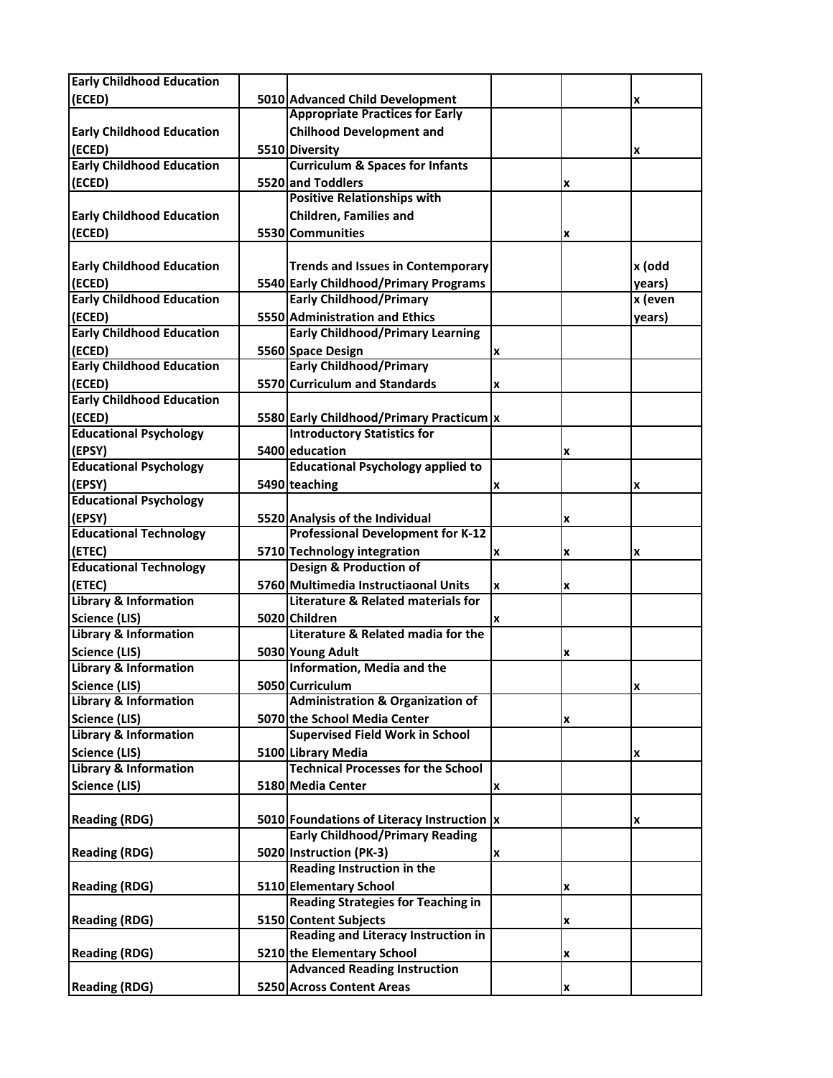| <b>Early Childhood Education</b>                         |                                                                             |                |   |         |
|----------------------------------------------------------|-----------------------------------------------------------------------------|----------------|---|---------|
| (ECED)                                                   | 5010 Advanced Child Development                                             |                |   | x       |
|                                                          | <b>Appropriate Practices for Early</b>                                      |                |   |         |
| <b>Early Childhood Education</b>                         | <b>Chilhood Development and</b>                                             |                |   |         |
| (ECED)                                                   | 5510 Diversity                                                              |                |   | x       |
| <b>Early Childhood Education</b>                         | <b>Curriculum &amp; Spaces for Infants</b>                                  |                |   |         |
| (ECED)                                                   | 5520 and Toddlers                                                           |                | x |         |
|                                                          | <b>Positive Relationships with</b>                                          |                |   |         |
| <b>Early Childhood Education</b>                         | <b>Children, Families and</b>                                               |                |   |         |
| (ECED)                                                   | 5530 Communities                                                            |                | X |         |
|                                                          |                                                                             |                |   |         |
| <b>Early Childhood Education</b>                         | <b>Trends and Issues in Contemporary</b>                                    |                |   | x (odd  |
| (ECED)                                                   | 5540 Early Childhood/Primary Programs                                       |                |   | years)  |
| <b>Early Childhood Education</b>                         | <b>Early Childhood/Primary</b>                                              |                |   | x (even |
| (ECED)                                                   | 5550 Administration and Ethics                                              |                |   | years)  |
| <b>Early Childhood Education</b>                         | <b>Early Childhood/Primary Learning</b>                                     |                |   |         |
| (ECED)                                                   | 5560 Space Design                                                           | x              |   |         |
| <b>Early Childhood Education</b>                         | <b>Early Childhood/Primary</b>                                              |                |   |         |
| (ECED)                                                   | 5570 Curriculum and Standards                                               | x              |   |         |
| <b>Early Childhood Education</b>                         |                                                                             |                |   |         |
| (ECED)                                                   | 5580 Early Childhood/Primary Practicum  x                                   |                |   |         |
| <b>Educational Psychology</b>                            | <b>Introductory Statistics for</b>                                          |                |   |         |
| (EPSY)                                                   | 5400 education                                                              |                |   |         |
| <b>Educational Psychology</b>                            | <b>Educational Psychology applied to</b>                                    |                | x |         |
| (EPSY)                                                   | 5490 teaching                                                               |                |   |         |
| <b>Educational Psychology</b>                            |                                                                             | x              |   | x       |
| (EPSY)                                                   |                                                                             |                |   |         |
| <b>Educational Technology</b>                            | 5520 Analysis of the Individual<br><b>Professional Development for K-12</b> |                | x |         |
| (ETEC)                                                   |                                                                             |                |   |         |
| <b>Educational Technology</b>                            | 5710 Technology integration<br><b>Design &amp; Production of</b>            | X              | x | X       |
|                                                          | 5760 Multimedia Instructiaonal Units                                        |                |   |         |
| (ETEC)<br><b>Library &amp; Information</b>               | <b>Literature &amp; Related materials for</b>                               | $\pmb{\times}$ | x |         |
|                                                          |                                                                             |                |   |         |
| <b>Science (LIS)</b><br><b>Library &amp; Information</b> | 5020 Children<br>Literature & Related madia for the                         | x              |   |         |
|                                                          |                                                                             |                |   |         |
| <b>Science (LIS)</b>                                     | 5030 Young Adult                                                            |                | x |         |
| <b>Library &amp; Information</b>                         | Information, Media and the                                                  |                |   |         |
| <b>Science (LIS)</b><br><b>Library &amp; Information</b> | 5050 Curriculum<br><b>Administration &amp; Organization of</b>              |                |   | x       |
|                                                          |                                                                             |                |   |         |
| Science (LIS)                                            | 5070 the School Media Center                                                |                | X |         |
| <b>Library &amp; Information</b>                         | <b>Supervised Field Work in School</b>                                      |                |   |         |
| Science (LIS)                                            | 5100 Library Media                                                          |                |   | x       |
| <b>Library &amp; Information</b>                         | <b>Technical Processes for the School</b>                                   |                |   |         |
| Science (LIS)                                            | 5180 Media Center                                                           | x              |   |         |
|                                                          |                                                                             |                |   |         |
| <b>Reading (RDG)</b>                                     | 5010 Foundations of Literacy Instruction  x                                 |                |   | x       |
|                                                          | <b>Early Childhood/Primary Reading</b>                                      |                |   |         |
| <b>Reading (RDG)</b>                                     | 5020 Instruction (PK-3)                                                     | x              |   |         |
|                                                          | Reading Instruction in the                                                  |                |   |         |
| <b>Reading (RDG)</b>                                     | 5110 Elementary School                                                      |                | x |         |
|                                                          | <b>Reading Strategies for Teaching in</b>                                   |                |   |         |
| <b>Reading (RDG)</b>                                     | 5150 Content Subjects                                                       |                | x |         |
|                                                          | Reading and Literacy Instruction in                                         |                |   |         |
| <b>Reading (RDG)</b>                                     | 5210 the Elementary School                                                  |                | x |         |
|                                                          | <b>Advanced Reading Instruction</b>                                         |                |   |         |
| <b>Reading (RDG)</b>                                     | 5250 Across Content Areas                                                   |                | X |         |